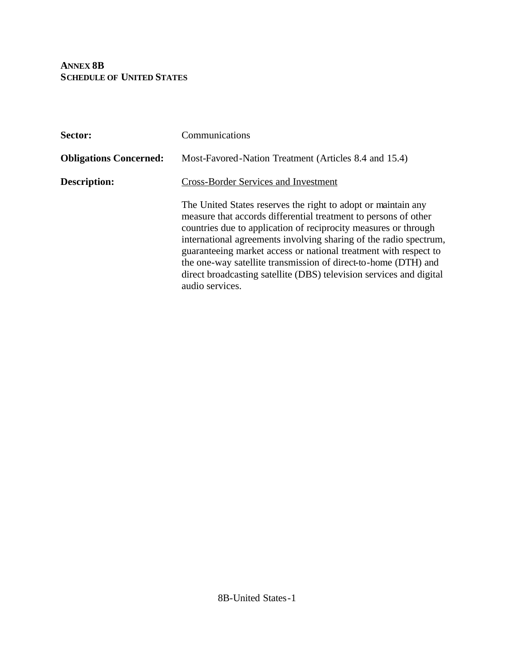**ANNEX 8B SCHEDULE OF UNITED STATES**

| Sector:                       | Communications                                                                                                                                                                                                                                                                                                                                                                                                                                                                                           |
|-------------------------------|----------------------------------------------------------------------------------------------------------------------------------------------------------------------------------------------------------------------------------------------------------------------------------------------------------------------------------------------------------------------------------------------------------------------------------------------------------------------------------------------------------|
| <b>Obligations Concerned:</b> | Most-Favored-Nation Treatment (Articles 8.4 and 15.4)                                                                                                                                                                                                                                                                                                                                                                                                                                                    |
| Description:                  | <b>Cross-Border Services and Investment</b>                                                                                                                                                                                                                                                                                                                                                                                                                                                              |
|                               | The United States reserves the right to adopt or maintain any<br>measure that accords differential treatment to persons of other<br>countries due to application of reciprocity measures or through<br>international agreements involving sharing of the radio spectrum,<br>guaranteeing market access or national treatment with respect to<br>the one-way satellite transmission of direct-to-home (DTH) and<br>direct broadcasting satellite (DBS) television services and digital<br>audio services. |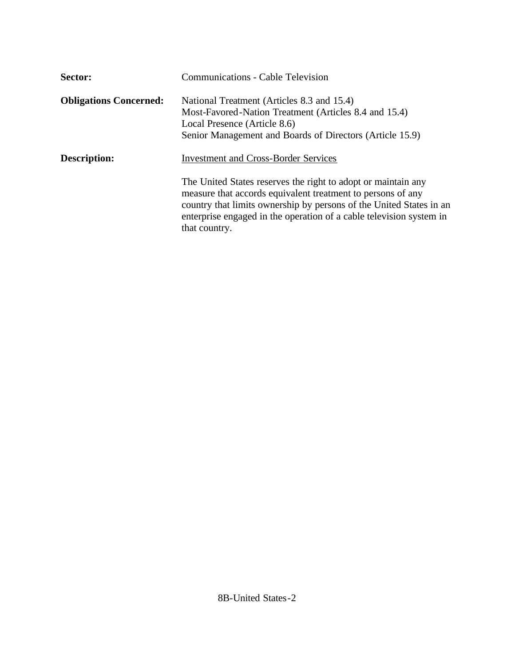| Sector:                       | <b>Communications - Cable Television</b>                                                                                                                                                                                                                                                                                                   |
|-------------------------------|--------------------------------------------------------------------------------------------------------------------------------------------------------------------------------------------------------------------------------------------------------------------------------------------------------------------------------------------|
| <b>Obligations Concerned:</b> | National Treatment (Articles 8.3 and 15.4)<br>Most-Favored-Nation Treatment (Articles 8.4 and 15.4)<br>Local Presence (Article 8.6)<br>Senior Management and Boards of Directors (Article 15.9)                                                                                                                                            |
| Description:                  | <b>Investment and Cross-Border Services</b><br>The United States reserves the right to adopt or maintain any<br>measure that accords equivalent treatment to persons of any<br>country that limits ownership by persons of the United States in an<br>enterprise engaged in the operation of a cable television system in<br>that country. |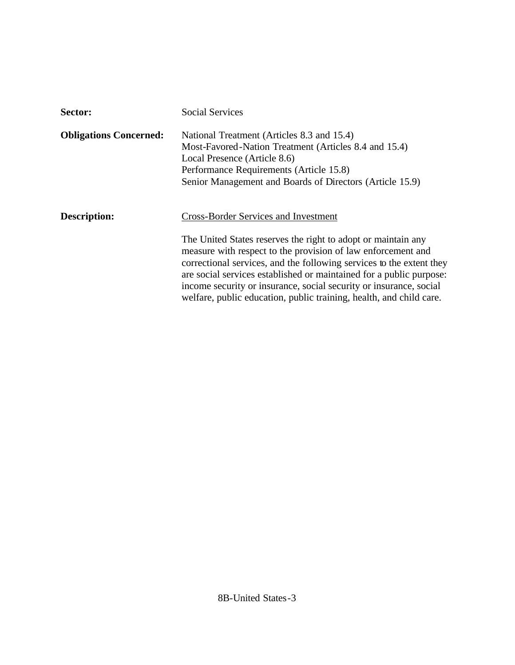| Sector:                       | <b>Social Services</b>                                                                                                                                                                                                                                                                                                                                                                                                                                                   |
|-------------------------------|--------------------------------------------------------------------------------------------------------------------------------------------------------------------------------------------------------------------------------------------------------------------------------------------------------------------------------------------------------------------------------------------------------------------------------------------------------------------------|
| <b>Obligations Concerned:</b> | National Treatment (Articles 8.3 and 15.4)<br>Most-Favored-Nation Treatment (Articles 8.4 and 15.4)<br>Local Presence (Article 8.6)<br>Performance Requirements (Article 15.8)<br>Senior Management and Boards of Directors (Article 15.9)                                                                                                                                                                                                                               |
| Description:                  | <b>Cross-Border Services and Investment</b><br>The United States reserves the right to adopt or maintain any<br>measure with respect to the provision of law enforcement and<br>correctional services, and the following services to the extent they<br>are social services established or maintained for a public purpose:<br>income security or insurance, social security or insurance, social<br>welfare, public education, public training, health, and child care. |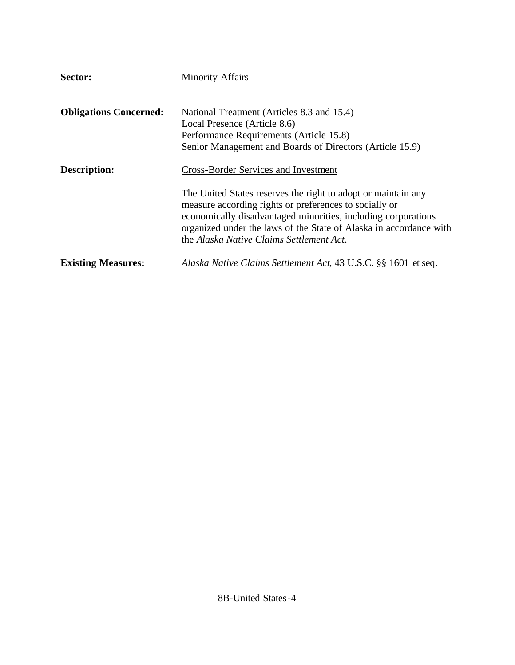| Sector:                       | <b>Minority Affairs</b>                                                                                                                                                                                                                                                                                    |
|-------------------------------|------------------------------------------------------------------------------------------------------------------------------------------------------------------------------------------------------------------------------------------------------------------------------------------------------------|
| <b>Obligations Concerned:</b> | National Treatment (Articles 8.3 and 15.4)<br>Local Presence (Article 8.6)<br>Performance Requirements (Article 15.8)<br>Senior Management and Boards of Directors (Article 15.9)                                                                                                                          |
| Description:                  | <b>Cross-Border Services and Investment</b>                                                                                                                                                                                                                                                                |
|                               | The United States reserves the right to adopt or maintain any<br>measure according rights or preferences to socially or<br>economically disadvantaged minorities, including corporations<br>organized under the laws of the State of Alaska in accordance with<br>the Alaska Native Claims Settlement Act. |
| <b>Existing Measures:</b>     | Alaska Native Claims Settlement Act, 43 U.S.C. §§ 1601 et seq.                                                                                                                                                                                                                                             |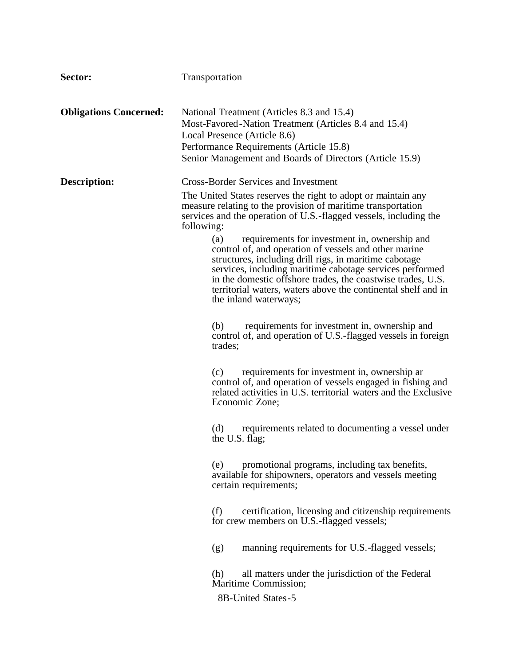| Sector:                       | Transportation                                                                                                                                                                                                                                                                                                                                                                                                                                                                                                                                                                                                                                                                                                                                                                                                                                                                                                                                                                                                                                                                                                                                                                                                                                                                                                                                                                                                                                                                                      |
|-------------------------------|-----------------------------------------------------------------------------------------------------------------------------------------------------------------------------------------------------------------------------------------------------------------------------------------------------------------------------------------------------------------------------------------------------------------------------------------------------------------------------------------------------------------------------------------------------------------------------------------------------------------------------------------------------------------------------------------------------------------------------------------------------------------------------------------------------------------------------------------------------------------------------------------------------------------------------------------------------------------------------------------------------------------------------------------------------------------------------------------------------------------------------------------------------------------------------------------------------------------------------------------------------------------------------------------------------------------------------------------------------------------------------------------------------------------------------------------------------------------------------------------------------|
| <b>Obligations Concerned:</b> | National Treatment (Articles 8.3 and 15.4)<br>Most-Favored-Nation Treatment (Articles 8.4 and 15.4)<br>Local Presence (Article 8.6)<br>Performance Requirements (Article 15.8)<br>Senior Management and Boards of Directors (Article 15.9)                                                                                                                                                                                                                                                                                                                                                                                                                                                                                                                                                                                                                                                                                                                                                                                                                                                                                                                                                                                                                                                                                                                                                                                                                                                          |
| <b>Description:</b>           | <b>Cross-Border Services and Investment</b><br>The United States reserves the right to adopt or maintain any<br>measure relating to the provision of maritime transportation<br>services and the operation of U.S.-flagged vessels, including the<br>following:<br>requirements for investment in, ownership and<br>(a)<br>control of, and operation of vessels and other marine<br>structures, including drill rigs, in maritime cabotage<br>services, including maritime cabotage services performed<br>in the domestic offshore trades, the coastwise trades, U.S.<br>territorial waters, waters above the continental shelf and in<br>the inland waterways;<br>requirements for investment in, ownership and<br>(b)<br>control of, and operation of U.S.-flagged vessels in foreign<br>trades;<br>requirements for investment in, ownership are<br>(c)<br>control of, and operation of vessels engaged in fishing and<br>related activities in U.S. territorial waters and the Exclusive<br>Economic Zone;<br>requirements related to documenting a vessel under<br>(d)<br>the U.S. flag;<br>promotional programs, including tax benefits,<br>(e)<br>available for shipowners, operators and vessels meeting<br>certain requirements;<br>certification, licensing and citizenship requirements<br>(f)<br>for crew members on U.S.-flagged vessels;<br>manning requirements for U.S.-flagged vessels;<br>(g)<br>all matters under the jurisdiction of the Federal<br>(h)<br>Maritime Commission; |
|                               | 8B-United States-5                                                                                                                                                                                                                                                                                                                                                                                                                                                                                                                                                                                                                                                                                                                                                                                                                                                                                                                                                                                                                                                                                                                                                                                                                                                                                                                                                                                                                                                                                  |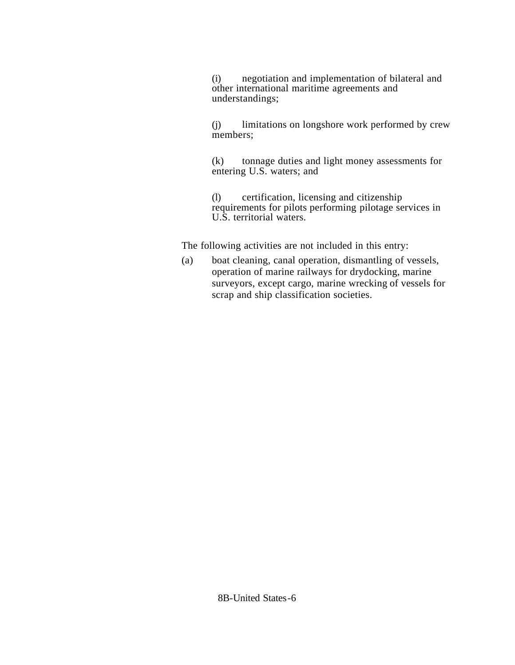(i) negotiation and implementation of bilateral and other international maritime agreements and understandings;

(j) limitations on longshore work performed by crew members;

(k) tonnage duties and light money assessments for entering U.S. waters; and

(l) certification, licensing and citizenship requirements for pilots performing pilotage services in U.S. territorial waters.

The following activities are not included in this entry:

(a) boat cleaning, canal operation, dismantling of vessels, operation of marine railways for drydocking, marine surveyors, except cargo, marine wrecking of vessels for scrap and ship classification societies.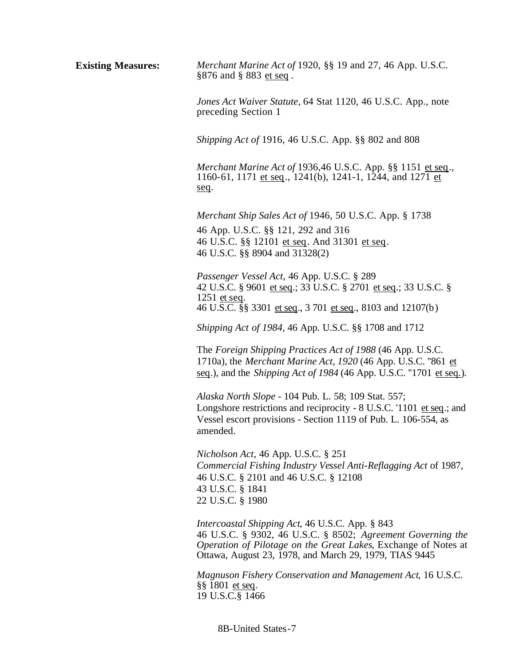**Existing Measures:** *Merchant Marine Act of* 1920, §§ 19 and 27, 46 App. U.S.C. §876 and § 883 et seq. *Jones Act Waiver Statute,* 64 Stat 1120, 46 U.S.C. App., note preceding Section 1 *Shipping Act of* 1916, 46 U.S.C. App. §§ 802 and 808 *Merchant Marine Act of* 1936,46 U.S.C. App. §§ 1151 et seq., 1160-61, 1171 et seq., 1241(b), 1241-1, 1244, and 1271 et seq. *Merchant Ship Sales Act of* 1946, 50 U.S.C. App. § 1738 46 App. U.S.C. §§ 121, 292 and 316 46 U.S.C. §§ 12101 et seq. And 31301 et seq. 46 U.S.C. §§ 8904 and 31328(2) *Passenger Vessel Act*, 46 App. U.S.C. § 289 42 U.S.C. § 9601 et seq.; 33 U.S.C. § 2701 et seq.; 33 U.S.C. § 1251 et seq. 46 U.S.C. §§ 3301 et seq., 3 701 et seq., 8103 and 12107(b) *Shipping Act of 1984,* 46 App. U.S.C. §§ 1708 and 1712 The *Foreign Shipping Practices Act of 1988* (46 App. U.S.C. 1710a), the *Merchant Marine Act, 1920* (46 App. U.S.C. ''861 et seq.), and the *Shipping Act of 1984* (46 App. U.S.C. ''1701 et seq.). *Alaska North Slope* - 104 Pub. L. 58; 109 Stat. 557; Longshore restrictions and reciprocity - 8 U.S.C. '1101 et seq.; and Vessel escort provisions - Section 1119 of Pub. L. 106-554, as amended. *Nicholson Act,* 46 App. U.S.C. § 251 *Commercial Fishing Industry Vessel Anti-Reflagging Act* of 1987, 46 U.S.C. § 2101 and 46 U.S.C. § 12108 43 U.S.C. § 1841 22 U.S.C. § 1980 *Intercoastal Shipping Act*, 46 U.S.C. App. § 843 46 U.S.C. § 9302, 46 U.S.C. § 8502; *Agreement Governing the Operation of Pilotage on the Great Lakes*, Exchange of Notes at Ottawa, August 23, 1978, and March 29, 1979, TIAS 9445 *Magnuson Fishery Conservation and Management Act*, 16 U.S.C. §§ 1801 et seq. 19 U.S.C.§ 1466